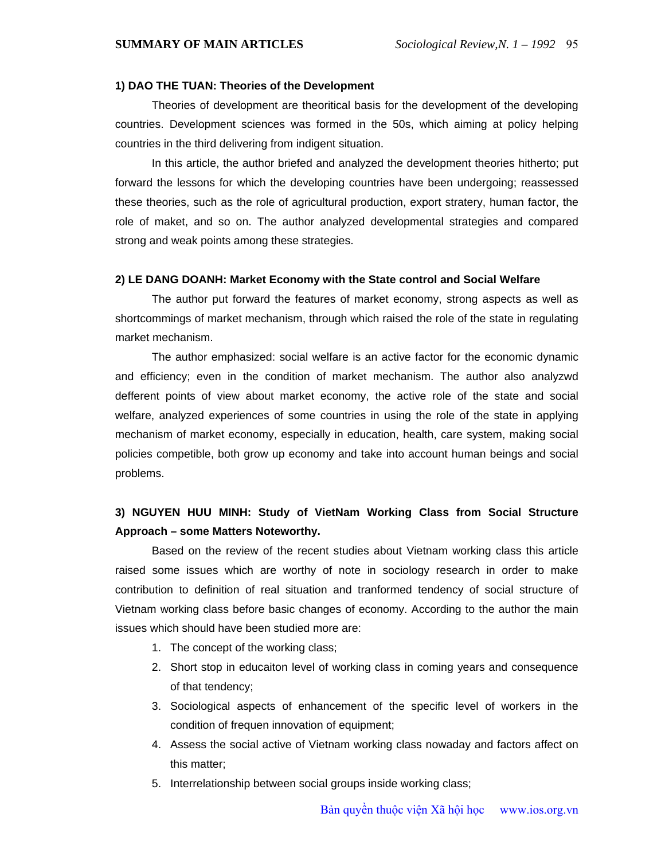#### **1) DAO THE TUAN: Theories of the Development**

Theories of development are theoritical basis for the development of the developing countries. Development sciences was formed in the 50s, which aiming at policy helping countries in the third delivering from indigent situation.

In this article, the author briefed and analyzed the development theories hitherto; put forward the lessons for which the developing countries have been undergoing; reassessed these theories, such as the role of agricultural production, export stratery, human factor, the role of maket, and so on. The author analyzed developmental strategies and compared strong and weak points among these strategies.

#### **2) LE DANG DOANH: Market Economy with the State control and Social Welfare**

The author put forward the features of market economy, strong aspects as well as shortcommings of market mechanism, through which raised the role of the state in regulating market mechanism.

The author emphasized: social welfare is an active factor for the economic dynamic and efficiency; even in the condition of market mechanism. The author also analyzwd defferent points of view about market economy, the active role of the state and social welfare, analyzed experiences of some countries in using the role of the state in applying mechanism of market economy, especially in education, health, care system, making social policies competible, both grow up economy and take into account human beings and social problems.

#### **3) NGUYEN HUU MINH: Study of VietNam Working Class from Social Structure Approach – some Matters Noteworthy.**

Based on the review of the recent studies about Vietnam working class this article raised some issues which are worthy of note in sociology research in order to make contribution to definition of real situation and tranformed tendency of social structure of Vietnam working class before basic changes of economy. According to the author the main issues which should have been studied more are:

- 1. The concept of the working class;
- 2. Short stop in educaiton level of working class in coming years and consequence of that tendency;
- 3. Sociological aspects of enhancement of the specific level of workers in the condition of frequen innovation of equipment;
- 4. Assess the social active of Vietnam working class nowaday and factors affect on this matter;
- 5. Interrelationship between social groups inside working class;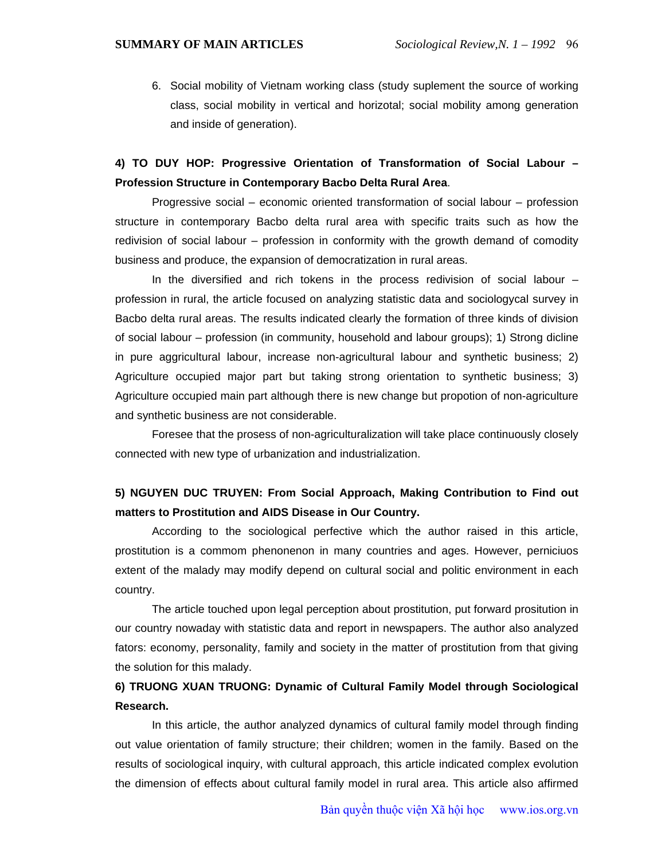6. Social mobility of Vietnam working class (study suplement the source of working class, social mobility in vertical and horizotal; social mobility among generation and inside of generation).

## **4) TO DUY HOP: Progressive Orientation of Transformation of Social Labour – Profession Structure in Contemporary Bacbo Delta Rural Area**.

Progressive social – economic oriented transformation of social labour – profession structure in contemporary Bacbo delta rural area with specific traits such as how the redivision of social labour – profession in conformity with the growth demand of comodity business and produce, the expansion of democratization in rural areas.

In the diversified and rich tokens in the process redivision of social labour – profession in rural, the article focused on analyzing statistic data and sociologycal survey in Bacbo delta rural areas. The results indicated clearly the formation of three kinds of division of social labour – profession (in community, household and labour groups); 1) Strong dicline in pure aggricultural labour, increase non-agricultural labour and synthetic business; 2) Agriculture occupied major part but taking strong orientation to synthetic business; 3) Agriculture occupied main part although there is new change but propotion of non-agriculture and synthetic business are not considerable.

Foresee that the prosess of non-agriculturalization will take place continuously closely connected with new type of urbanization and industrialization.

### **5) NGUYEN DUC TRUYEN: From Social Approach, Making Contribution to Find out matters to Prostitution and AIDS Disease in Our Country.**

According to the sociological perfective which the author raised in this article, prostitution is a commom phenonenon in many countries and ages. However, perniciuos extent of the malady may modify depend on cultural social and politic environment in each country.

The article touched upon legal perception about prostitution, put forward prositution in our country nowaday with statistic data and report in newspapers. The author also analyzed fators: economy, personality, family and society in the matter of prostitution from that giving the solution for this malady.

# **6) TRUONG XUAN TRUONG: Dynamic of Cultural Family Model through Sociological Research.**

In this article, the author analyzed dynamics of cultural family model through finding out value orientation of family structure; their children; women in the family. Based on the results of sociological inquiry, with cultural approach, this article indicated complex evolution the dimension of effects about cultural family model in rural area. This article also affirmed